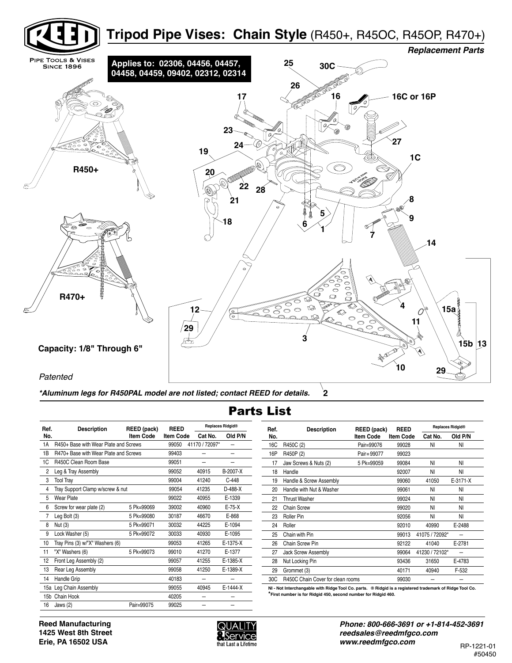

**2** *\*Aluminum legs for R450PAL model are not listed; contact REED for details.*

## Parts List

| Ref.            | <b>Description</b>                    | REED (pack)      | <b>REED</b>      |                | <b>Replaces Ridgid®</b> |  |  |
|-----------------|---------------------------------------|------------------|------------------|----------------|-------------------------|--|--|
| No.             |                                       | <b>Item Code</b> | <b>Item Code</b> | Cat No.        | Old P/N                 |  |  |
| 1A              | R450+ Base with Wear Plate and Screws |                  | 99050            | 41170 / 72097* |                         |  |  |
| 1B              | R470+ Base with Wear Plate and Screws |                  | 99403            |                |                         |  |  |
| 1C              | R450C Clean Room Base                 |                  | 99051            |                |                         |  |  |
| 2               | Leg & Tray Assembly                   |                  | 99052            | 40915          | B-2007-X                |  |  |
| 3               | <b>Tool Tray</b>                      |                  | 99004            | 41240          | $C-448$                 |  |  |
| 4               | Tray Support Clamp w/screw & nut      |                  | 99054            | 41235          | $D-488-X$               |  |  |
| 5               | Wear Plate                            |                  | 99022            | 40955          | E-1339                  |  |  |
| 6               | Screw for wear plate (2)              | 5 Pk=99069       | 39002            | 40960          | $E-75-X$                |  |  |
| 7               | Leg Bolt (3)                          | 5 Pk=99080       | 30187            | 46670          | E-868                   |  |  |
| 8               | Nut (3)                               | 5 Pk=99071       | 30032            | 44225          | E-1094                  |  |  |
| 9               | Lock Washer (5)                       | 5 Pk=99072       | 30033            | 40930          | E-1095                  |  |  |
| 10              | Tray Pins (3) w/"X" Washers (6)       |                  | 99053            | 41265          | E-1375-X                |  |  |
| 11              | "X" Washers (6)                       | 5 Pk=99073       | 99010            | 41270          | E-1377                  |  |  |
| 12              | Front Leg Assembly (2)                |                  | 99057            | 41255          | $E-1385-X$              |  |  |
| 13              | Rear Leg Assembly                     |                  | 99058            | 41250          | E-1389-X                |  |  |
| 14              | Handle Grip                           |                  | 40183            |                |                         |  |  |
|                 | 15a Leg Chain Assembly                |                  | 99055            | 40945          | E-1444-X                |  |  |
| 15 <sub>b</sub> | Chain Hook                            |                  | 40205            |                |                         |  |  |
| 16              | Jaws $(2)$                            | Pair=99075       | 99025            |                |                         |  |  |

| <b>Replaces Ridgid®</b> |           | Ref. | <b>Description</b>                | REED (pack)      | <b>REED</b>      | <b>Replaces Ridgid®</b> |          |  |
|-------------------------|-----------|------|-----------------------------------|------------------|------------------|-------------------------|----------|--|
| t No.                   | Old P/N   | No.  |                                   | <b>Item Code</b> | <b>Item Code</b> | Cat No.                 | Old P/N  |  |
| 72097*                  |           | 16C  | R450C (2)                         | Pair=99076       | 99028            | NI                      | ΝI       |  |
|                         |           | 16P  | R450P (2)                         | Pair=99077       | 99023            |                         |          |  |
|                         |           | 17   | Jaw Screws & Nuts (2)             | 5 Pk=99059       | 99084            | NI                      | NI       |  |
| 15                      | B-2007-X  | 18   | Handle                            |                  | 92007            | NI                      | ΝI       |  |
| 40                      | $C-448$   | 19   | Handle & Screw Assembly           |                  | 99060            | 41050                   | E-3171-X |  |
| 35                      | $D-488-X$ | 20   | Handle with Nut & Washer          |                  | 99061            | NI                      | NI       |  |
| 55                      | E-1339    | 21   | <b>Thrust Washer</b>              |                  | 99024            | NI                      | ΝI       |  |
| 60                      | $E-75-X$  | 22   | Chain Screw                       |                  | 99020            | NI                      | NI       |  |
| 70                      | E-868     | 23   | Roller Pin                        |                  | 92056            | NI                      | ΝI       |  |
| 25                      | E-1094    | 24   | Roller                            |                  | 92010            | 40990                   | E-2488   |  |
| 30                      | E-1095    | 25   | Chain with Pin                    |                  | 99013            | 41075 / 72092*          |          |  |
| 65                      | E-1375-X  | 26   | Chain Screw Pin                   |                  | 92122            | 41040                   | E-2781   |  |
| 70                      | E-1377    | 27   | Jack Screw Assembly               |                  | 99064            | 41230 / 72102*          |          |  |
| 55                      | E-1385-X  | 28   | Nut Locking Pin                   |                  | 93436            | 31650                   | E-4783   |  |
| 50                      | E-1389-X  | 29   | Grommet (3)                       |                  | 40171            | 40940                   | F-532    |  |
|                         |           | 30C  | R450C Chain Cover for clean rooms |                  | 99030            |                         |          |  |
|                         |           |      |                                   |                  |                  |                         |          |  |

**NI - Not Interchangable with Ridge Tool Co. parts. ® Ridgid is a registered trademark of Ridge Tool Co. \*First number is for Ridgid 450, second number for Ridgid 460.**

**Reed Manufacturing 1425 West 8th Street Erie, PA 16502 USA** 



*Phone: 800-666-3691 or +1-814-452-3691 reedsales@reedmfgco.com www.reedmfgco.com* RP-1221-01